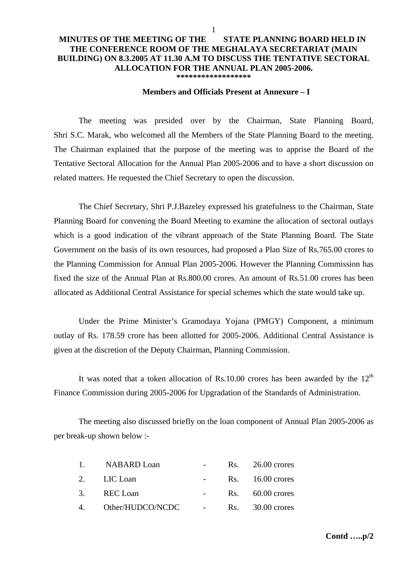## **MINUTES OF THE MEETING OF THE STATE PLANNING BOARD HELD IN THE CONFERENCE ROOM OF THE MEGHALAYA SECRETARIAT (MAIN BUILDING) ON 8.3.2005 AT 11.30 A.M TO DISCUSS THE TENTATIVE SECTORAL ALLOCATION FOR THE ANNUAL PLAN 2005-2006. \*\*\*\*\*\*\*\*\*\*\*\*\*\*\*\*\*\***

## **Members and Officials Present at Annexure – I**

The meeting was presided over by the Chairman, State Planning Board, Shri S.C. Marak, who welcomed all the Members of the State Planning Board to the meeting. The Chairman explained that the purpose of the meeting was to apprise the Board of the Tentative Sectoral Allocation for the Annual Plan 2005-2006 and to have a short discussion on related matters. He requested the Chief Secretary to open the discussion.

 The Chief Secretary, Shri P.J.Bazeley expressed his gratefulness to the Chairman, State Planning Board for convening the Board Meeting to examine the allocation of sectoral outlays which is a good indication of the vibrant approach of the State Planning Board. The State Government on the basis of its own resources, had proposed a Plan Size of Rs.765.00 crores to the Planning Commission for Annual Plan 2005-2006. However the Planning Commission has fixed the size of the Annual Plan at Rs.800.00 crores. An amount of Rs.51.00 crores has been allocated as Additional Central Assistance for special schemes which the state would take up.

 Under the Prime Minister's Gramodaya Yojana (PMGY) Component, a minimum outlay of Rs. 178.59 crore has been allotted for 2005-2006. Additional Central Assistance is given at the discretion of the Deputy Chairman, Planning Commission.

It was noted that a token allocation of Rs.10.00 crores has been awarded by the  $12<sup>th</sup>$ Finance Commission during 2005-2006 for Upgradation of the Standards of Administration.

 The meeting also discussed briefly on the loan component of Annual Plan 2005-2006 as per break-up shown below :-

| 1. NABARD Loan      |  | $Rs.$ 26.00 crores |
|---------------------|--|--------------------|
| 2. LIC Loan         |  | $Rs.$ 16.00 crores |
| 3. REC Loan         |  | $Rs. 60.00$ crores |
| 4. Other/HUDCO/NCDC |  | $Rs.$ 30.00 crores |

**Contd …..p/2**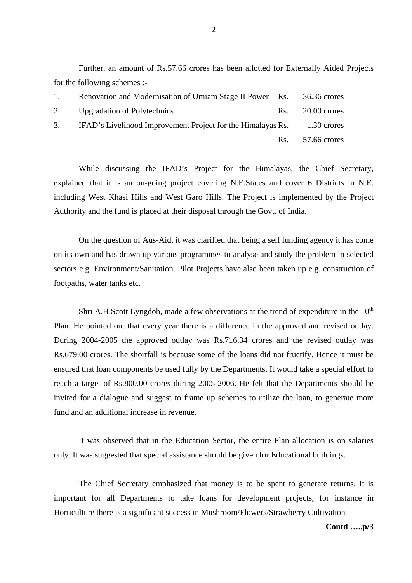Further, an amount of Rs.57.66 crores has been allotted for Externally Aided Projects for the following schemes :-

| $1_{-}$ | Renovation and Modernisation of Umiam Stage II Power Rs. 36.36 crores      |                    |
|---------|----------------------------------------------------------------------------|--------------------|
|         | 2. Upgradation of Polytechnics                                             | $Rs.$ 20.00 crores |
|         | 3. IFAD's Livelihood Improvement Project for the Himalayas Rs. 1.30 crores |                    |
|         |                                                                            | $Rs.$ 57.66 crores |

 While discussing the IFAD's Project for the Himalayas, the Chief Secretary, explained that it is an on-going project covering N.E.States and cover 6 Districts in N.E. including West Khasi Hills and West Garo Hills. The Project is implemented by the Project Authority and the fund is placed at their disposal through the Govt. of India.

 On the question of Aus-Aid, it was clarified that being a self funding agency it has come on its own and has drawn up various programmes to analyse and study the problem in selected sectors e.g. Environment/Sanitation. Pilot Projects have also been taken up e.g. construction of footpaths, water tanks etc.

Shri A.H.Scott Lyngdoh, made a few observations at the trend of expenditure in the  $10<sup>th</sup>$ Plan. He pointed out that every year there is a difference in the approved and revised outlay. During 2004-2005 the approved outlay was Rs.716.34 crores and the revised outlay was Rs.679.00 crores. The shortfall is because some of the loans did not fructify. Hence it must be ensured that loan components be used fully by the Departments. It would take a special effort to reach a target of Rs.800.00 crores during 2005-2006. He felt that the Departments should be invited for a dialogue and suggest to frame up schemes to utilize the loan, to generate more fund and an additional increase in revenue.

 It was observed that in the Education Sector, the entire Plan allocation is on salaries only. It was suggested that special assistance should be given for Educational buildings.

 The Chief Secretary emphasized that money is to be spent to generate returns. It is important for all Departments to take loans for development projects, for instance in Horticulture there is a significant success in Mushroom/Flowers/Strawberry Cultivation

## **Contd …..p/3**